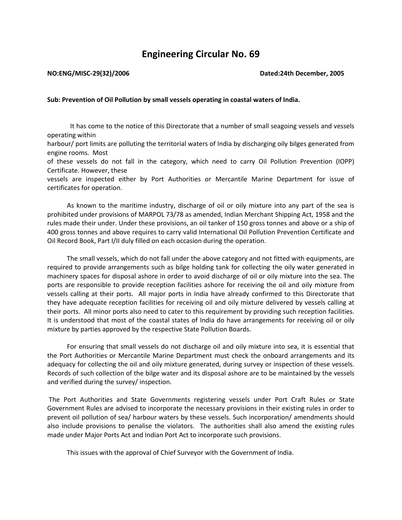## **Engineering Circular No. 69**

## **NO:ENG/MISC-29(32)/2006 Dated:24th December, 2005**

## **Sub: Prevention of Oil Pollution by small vessels operating in coastal waters of India.**

 It has come to the notice of this Directorate that a number of small seagoing vessels and vessels operating within

harbour/ port limits are polluting the territorial waters of India by discharging oily bilges generated from engine rooms. Most

of these vessels do not fall in the category, which need to carry Oil Pollution Prevention (IOPP) Certificate. However, these

vessels are inspected either by Port Authorities or Mercantile Marine Department for issue of certificates for operation.

 As known to the maritime industry, discharge of oil or oily mixture into any part of the sea is prohibited under provisions of MARPOL 73/78 as amended, Indian Merchant Shipping Act, 1958 and the rules made their under. Under these provisions, an oil tanker of 150 gross tonnes and above or a ship of 400 gross tonnes and above requires to carry valid International Oil Pollution Prevention Certificate and Oil Record Book, Part I/II duly filled on each occasion during the operation.

 The small vessels, which do not fall under the above category and not fitted with equipments, are required to provide arrangements such as bilge holding tank for collecting the oily water generated in machinery spaces for disposal ashore in order to avoid discharge of oil or oily mixture into the sea. The ports are responsible to provide reception facilities ashore for receiving the oil and oily mixture from vessels calling at their ports. All major ports in India have already confirmed to this Directorate that they have adequate reception facilities for receiving oil and oily mixture delivered by vessels calling at their ports. All minor ports also need to cater to this requirement by providing such reception facilities. It is understood that most of the coastal states of India do have arrangements for receiving oil or oily mixture by parties approved by the respective State Pollution Boards.

 For ensuring that small vessels do not discharge oil and oily mixture into sea, it is essential that the Port Authorities or Mercantile Marine Department must check the onboard arrangements and its adequacy for collecting the oil and oily mixture generated, during survey or inspection of these vessels. Records of such collection of the bilge water and its disposal ashore are to be maintained by the vessels and verified during the survey/ inspection.

The Port Authorities and State Governments registering vessels under Port Craft Rules or State Government Rules are advised to incorporate the necessary provisions in their existing rules in order to prevent oil pollution of sea/ harbour waters by these vessels. Such incorporation/ amendments should also include provisions to penalise the violators. The authorities shall also amend the existing rules made under Major Ports Act and Indian Port Act to incorporate such provisions.

This issues with the approval of Chief Surveyor with the Government of India.